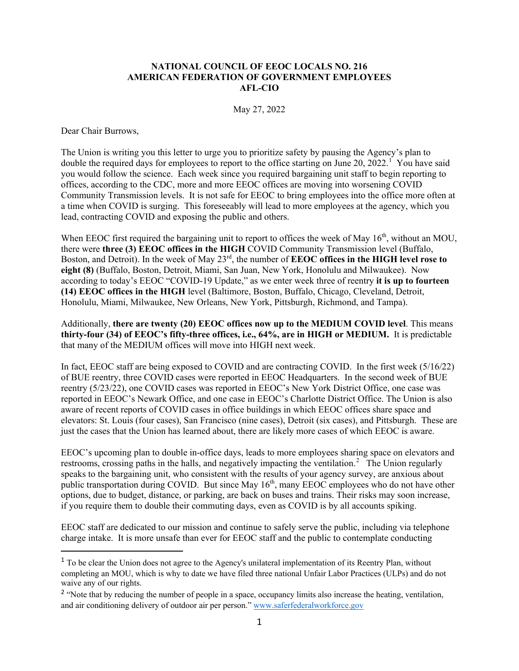## **NATIONAL COUNCIL OF EEOC LOCALS NO. 216 AMERICAN FEDERATION OF GOVERNMENT EMPLOYEES AFL-CIO**

May 27, 2022

Dear Chair Burrows,

The Union is writing you this letter to urge you to prioritize safety by pausing the Agency's plan to double the required days for employees to report to the office starting on June 20, 2022.<sup>[1](#page-0-0)</sup> You have said you would follow the science. Each week since you required bargaining unit staff to begin reporting to offices, according to the CDC, more and more EEOC offices are moving into worsening COVID Community Transmission levels. It is not safe for EEOC to bring employees into the office more often at a time when COVID is surging. This foreseeably will lead to more employees at the agency, which you lead, contracting COVID and exposing the public and others.

When EEOC first required the bargaining unit to report to offices the week of May 16<sup>th</sup>, without an MOU, there were **three (3) EEOC offices in the HIGH** COVID Community Transmission level (Buffalo, Boston, and Detroit). In the week of May 23rd, the number of **EEOC offices in the HIGH level rose to eight (8)** (Buffalo, Boston, Detroit, Miami, San Juan, New York, Honolulu and Milwaukee). Now according to today's EEOC "COVID-19 Update," as we enter week three of reentry **it is up to fourteen (14) EEOC offices in the HIGH** level (Baltimore, Boston, Buffalo, Chicago, Cleveland, Detroit, Honolulu, Miami, Milwaukee, New Orleans, New York, Pittsburgh, Richmond, and Tampa).

Additionally, **there are twenty (20) EEOC offices now up to the MEDIUM COVID level**. This means **thirty-four (34) of EEOC's fifty-three offices, i.e., 64%, are in HIGH or MEDIUM.** It is predictable that many of the MEDIUM offices will move into HIGH next week.

In fact, EEOC staff are being exposed to COVID and are contracting COVID. In the first week (5/16/22) of BUE reentry, three COVID cases were reported in EEOC Headquarters. In the second week of BUE reentry (5/23/22), one COVID cases was reported in EEOC's New York District Office, one case was reported in EEOC's Newark Office, and one case in EEOC's Charlotte District Office. The Union is also aware of recent reports of COVID cases in office buildings in which EEOC offices share space and elevators: St. Louis (four cases), San Francisco (nine cases), Detroit (six cases), and Pittsburgh. These are just the cases that the Union has learned about, there are likely more cases of which EEOC is aware.

EEOC's upcoming plan to double in-office days, leads to more employees sharing space on elevators and restrooms, crossing paths in the halls, and negatively impacting the ventilation.<sup>[2](#page-0-1)</sup> The Union regularly speaks to the bargaining unit, who consistent with the results of your agency survey, are anxious about public transportation during COVID. But since May 16<sup>th</sup>, many EEOC employees who do not have other options, due to budget, distance, or parking, are back on buses and trains. Their risks may soon increase, if you require them to double their commuting days, even as COVID is by all accounts spiking.

EEOC staff are dedicated to our mission and continue to safely serve the public, including via telephone charge intake. It is more unsafe than ever for EEOC staff and the public to contemplate conducting

<span id="page-0-0"></span><sup>&</sup>lt;sup>1</sup> To be clear the Union does not agree to the Agency's unilateral implementation of its Reentry Plan, without completing an MOU, which is why to date we have filed three national Unfair Labor Practices (ULPs) and do not waive any of our rights.

<span id="page-0-1"></span><sup>&</sup>lt;sup>2</sup> "Note that by reducing the number of people in a space, occupancy limits also increase the heating, ventilation, and air conditioning delivery of outdoor air per person." [www.saferfederalworkforce.gov](http://www.saferfederalworkforce.gov/)